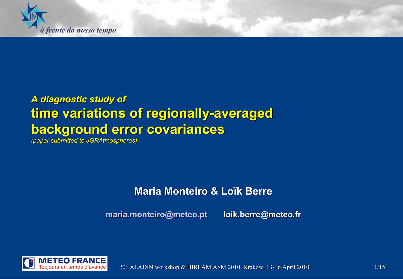<span id="page-0-0"></span>

## *A diagnostic study of* **time variations of regionally-averaged background error covariances**

*(paper submitted to JGRAtmospheres)*

### **Maria Monteiro & Loïk Berre**

**[maria.monteiro@meteo.pt](mailto:maria.monteiro@meteo.pt) loik.berre@meteo.fr**



20<sup>th</sup> ALADIN workshop & HIRLAM ASM 2010, Kraków, 13-16 April 2010 1115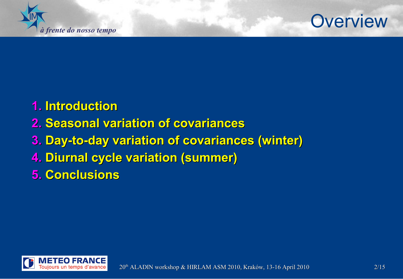

## **Overview**

## **1. Introduction**

## **2. Seasonal variation of covariances**

## **3. Day-to-day variation of covariances (winter)**

- **4. Diurnal cycle variation (summer)**
- **5. Conclusions**

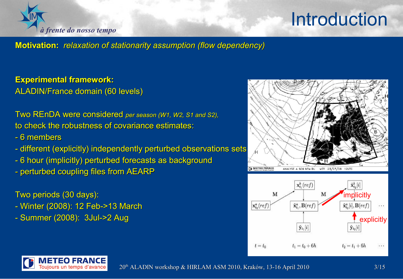

# **Introduction**

**Motivation:** *relaxation of stationarity assumption (flow dependency)*

**Experimental framework:** ALADIN/France domain (60 levels)

Two REnDA were considered *per season (W1, W2, S1 and S2),* to check the robustness of covariance estimates:

- 6 members
- different (explicitly) independently perturbed observations sets
- 6 hour (implicitly) perturbed forecasts as background
- perturbed coupling files from AEARP

### Two periods (30 days):

- Winter (2008): 12 Feb->13 March
- Summer (2008): 3Jul->2 Aug





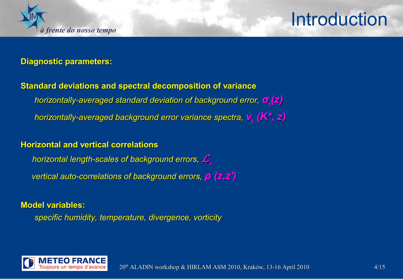

## **Introduction**

#### **Diagnostic parameters:**

**Standard deviations and spectral decomposition of variance**  *horizontally-averaged standard deviation of background error, σ<sup>b</sup> (z) horizontally-averaged background error variance spectra, ν<sup>b</sup> (K\*, z)*

#### **Horizontal and vertical correlations**

*horizontal length-scales of background errors,* <sup>L</sup>*<sup>z</sup> vertical auto-correlations of background errors, ρ (z,z')*

#### **Model variables:**

*specific humidity, temperature, divergence, vorticity*

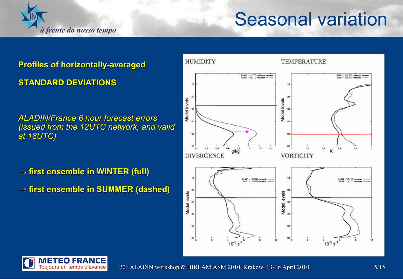

## **Seasonal variation**

### **Profiles of horizontally-averaged STANDARD DEVIATIONS**

*ALADIN/France 6 hour forecast errors (issued from the 12UTC network, and valid at 18UTC)*

**→ first ensemble in WINTER (full)** 

**→ first ensemble in SUMMER (dashed)**



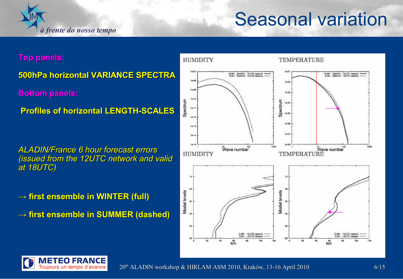

## **Seasonal variation**

**Top panels:**

**500hPa horizontal VARIANCE SPECTRA**

**Bottom panels:**

**Profiles of horizontal LENGTH-SCALES**

*ALADIN/France 6 hour forecast errors (issued from the 12UTC network and valid at 18UTC)*

**→ first ensemble in WINTER (full)**

**→ first ensemble in SUMMER (dashed)**



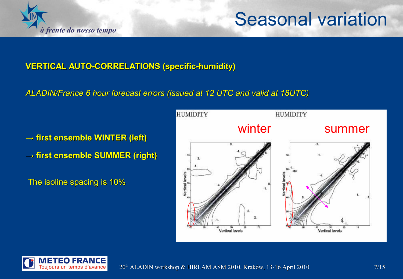

## **Seasonal variation**

### **VERTICAL AUTO-CORRELATIONS (specific-humidity)**

*ALADIN/France 6 hour forecast errors (issued at 12 UTC and valid at 18UTC)*

**→ first ensemble WINTER (left) → first ensemble SUMMER (right)**

The isoline spacing is 10%



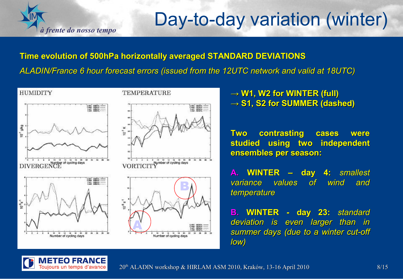

# Day-to-day variation (winter)

### **Time evolution of 500hPa horizontally averaged STANDARD DEVIATIONS** *ALADIN/France 6 hour forecast errors (issued from the 12UTC network and valid at 18UTC)*



 $\rightarrow$  **W1, W2 for WINTER (full) → S1, S2 for SUMMER (dashed)**

**Two contrasting cases were studied using two independent ensembles per season:**

**A. WINTER – day 4:** *smallest variance values of wind and temperature*

**B. WINTER - day 23:** *standard deviation is even larger than in summer days (due to a winter cut-off low)*

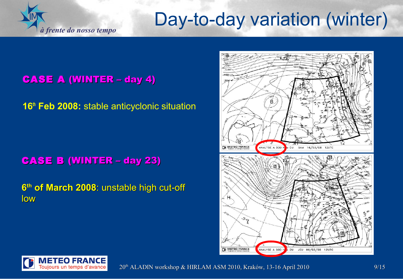# Day-to-day variation (winter)

CASE A (WINTER – day 4)

*à frente do nosso tempo*

IM

**16th Feb 2008:** stable anticyclonic situation

### CASE B (WINTER – day 23)

**6 th of March 2008**: unstable high cut-off low





 $20<sup>th</sup>$  ALADIN workshop & HIRLAM ASM 2010, Kraków, 13-16 April 2010 9/15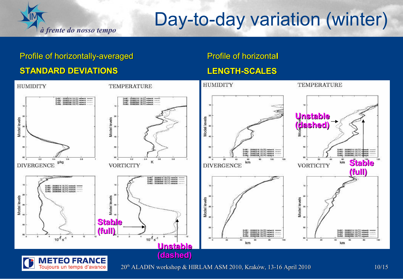

# Day-to-day variation (winter)

### Profile of horizontally-averaged **STANDARD DEVIATIONS**

#### Profile of horizonta**l**

### **LENGTH-SCALES**

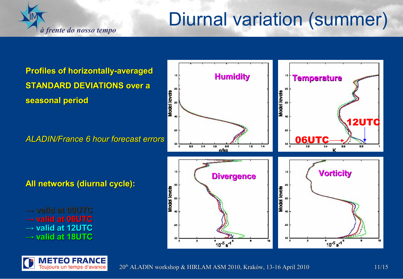## Diurnal variation (summer)

**Humidity Temperature**

**Profiles of horizontally-averaged STANDARD DEVIATIONS over a seasonal period**

*à frente do nosso tempo*

*ALADIN/France 6 hour forecast errors*

**All networks (diurnal cycle):**

**→ valid at 00UTC → valid at 06UTC → valid at 12UTC → valid at 18UTC**

> METEO FRANCE Toujours un temps d'avance



10

20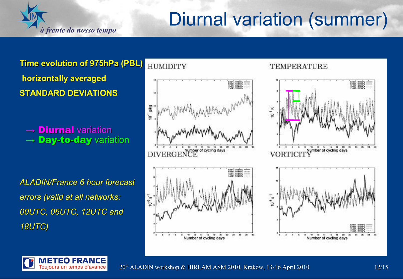# Diurnal variation (summer)

**Time evolution of 975hPa (PBL) horizontally averaged STANDARD DEVIATIONS**

*à frente do nosso tempo*

 $\rightarrow$  Diurnal variation  $\rightarrow$  Day-to-day variation

*ALADIN/France 6 hour forecast errors (valid at all networks: 00UTC, 06UTC, 12UTC and 18UTC)*



#### TEMPERATURE





 $20<sup>th</sup>$  ALADIN workshop & HIRLAM ASM 2010, Kraków, 13-16 April 2010 12/15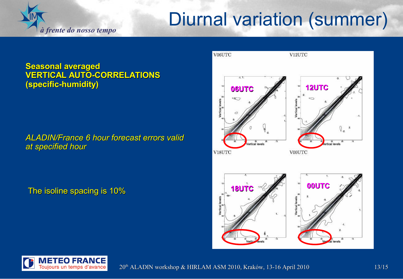## Diurnal variation (summer)

#### **Seasonal averaged VERTICAL AUTO-CORRELATIONS (specific-humidity)**

*à frente do nosso tempo*

### *ALADIN/France 6 hour forecast errors valid at specified hour*

The isoline spacing is 10%





 $20<sup>th</sup>$  ALADIN workshop & HIRLAM ASM 2010, Kraków, 13-16 April 2010 13/15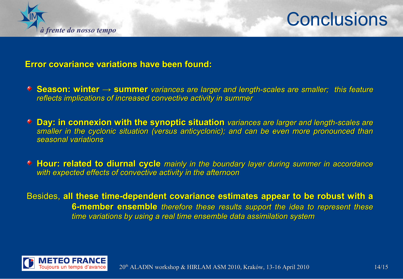

## **Conclusions**

#### **Error covariance variations have been found:**

- **Season: winter → summer** *variances are larger and length-scales are smaller; this feature reflects implications of increased convective activity in summer*
- **Day: in connexion with the synoptic situation** *variances are larger and length-scales are smaller in the cyclonic situation (versus anticyclonic); and can be even more pronounced than seasonal variations*
- **Hour: related to diurnal cycle** *mainly in the boundary layer during summer in accordance with expected effects of convective activity in the afternoon*

 Besides, **all these time-dependent covariance estimates appear to be robust with a 6-member ensemble** *therefore these results support the idea to represent these time variations by using a real time ensemble data assimilation system*